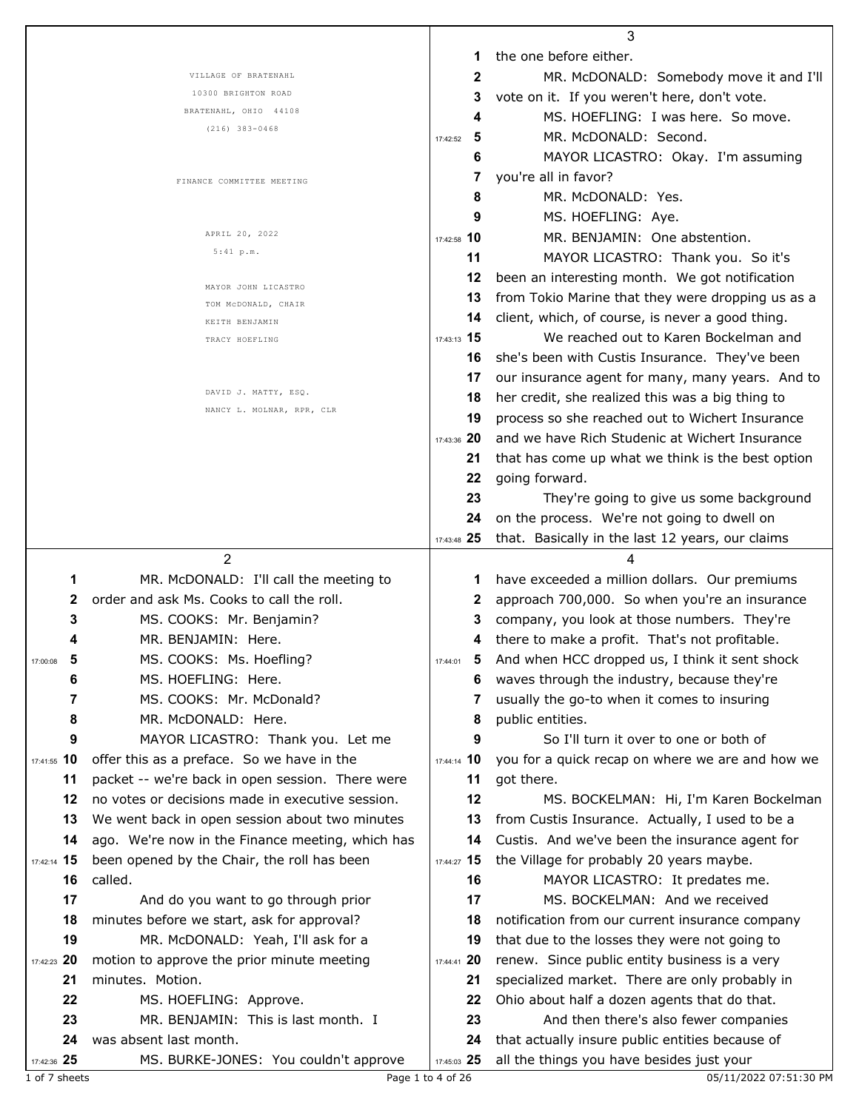|                   |                                                                 |                   | 3                                                                                                  |
|-------------------|-----------------------------------------------------------------|-------------------|----------------------------------------------------------------------------------------------------|
|                   |                                                                 | 1                 | the one before either.                                                                             |
|                   | VILLAGE OF BRATENAHL                                            | 2                 | MR. McDONALD: Somebody move it and I'll                                                            |
|                   | 10300 BRIGHTON ROAD                                             | 3                 | vote on it. If you weren't here, don't vote.                                                       |
|                   | BRATENAHL, OHIO 44108                                           | 4                 | MS. HOEFLING: I was here. So move.                                                                 |
|                   | $(216)$ 383-0468                                                | 5<br>17:42:52     | MR. McDONALD: Second.                                                                              |
|                   |                                                                 | 6                 | MAYOR LICASTRO: Okay. I'm assuming                                                                 |
|                   |                                                                 | 7                 | you're all in favor?                                                                               |
|                   | FINANCE COMMITTEE MEETING                                       | 8                 | MR. McDONALD: Yes.                                                                                 |
|                   |                                                                 | 9                 | MS. HOEFLING: Aye.                                                                                 |
|                   | APRIL 20, 2022                                                  | 17:42:58 10       | MR. BENJAMIN: One abstention.                                                                      |
|                   | 5:41 p.m.                                                       | 11                | MAYOR LICASTRO: Thank you. So it's                                                                 |
|                   |                                                                 |                   |                                                                                                    |
|                   | MAYOR JOHN LICASTRO                                             | 12                | been an interesting month. We got notification                                                     |
|                   | TOM MCDONALD, CHAIR                                             | 13                | from Tokio Marine that they were dropping us as a                                                  |
|                   | KEITH BENJAMIN                                                  | 14                | client, which, of course, is never a good thing.                                                   |
|                   | TRACY HOEFLING                                                  | 17:43:13 15       | We reached out to Karen Bockelman and                                                              |
|                   |                                                                 | 16                | she's been with Custis Insurance. They've been                                                     |
|                   |                                                                 | 17                | our insurance agent for many, many years. And to                                                   |
|                   | DAVID J. MATTY, ESQ.<br>NANCY L. MOLNAR, RPR, CLR               | 18                | her credit, she realized this was a big thing to                                                   |
|                   |                                                                 | 19                | process so she reached out to Wichert Insurance                                                    |
|                   |                                                                 | 17:43:36 20       | and we have Rich Studenic at Wichert Insurance                                                     |
|                   |                                                                 | 21                | that has come up what we think is the best option                                                  |
|                   |                                                                 | 22                | going forward.                                                                                     |
|                   |                                                                 | 23                | They're going to give us some background                                                           |
|                   |                                                                 | 24                | on the process. We're not going to dwell on                                                        |
|                   |                                                                 | 17:43:48 25       | that. Basically in the last 12 years, our claims                                                   |
|                   |                                                                 |                   |                                                                                                    |
|                   | 2                                                               |                   | 4                                                                                                  |
| 1                 | MR. McDONALD: I'll call the meeting to                          | 1                 | have exceeded a million dollars. Our premiums                                                      |
| 2                 | order and ask Ms. Cooks to call the roll.                       | 2                 | approach 700,000. So when you're an insurance                                                      |
| 3                 | MS. COOKS: Mr. Benjamin?                                        | 3                 | company, you look at those numbers. They're                                                        |
|                   | MR. BENJAMIN: Here.                                             | 4                 |                                                                                                    |
| 5<br>17:00:08     |                                                                 | 17:44:01          | there to make a profit. That's not profitable.<br>5 And when HCC dropped us, I think it sent shock |
| 6                 | MS. COOKS: Ms. Hoefling?<br>MS. HOEFLING: Here.                 | 6                 |                                                                                                    |
| 7                 | MS. COOKS: Mr. McDonald?                                        | 7                 | waves through the industry, because they're                                                        |
|                   |                                                                 | 8                 | usually the go-to when it comes to insuring                                                        |
| 8                 | MR. McDONALD: Here.                                             | 9                 | public entities.                                                                                   |
| 9                 | MAYOR LICASTRO: Thank you. Let me                               |                   | So I'll turn it over to one or both of                                                             |
| 17:41:55 10       | offer this as a preface. So we have in the                      | 17:44:14 10       | you for a quick recap on where we are and how we                                                   |
| 11                | packet -- we're back in open session. There were                | 11                | got there.                                                                                         |
| 12                | no votes or decisions made in executive session.                | 12<br>13          | MS. BOCKELMAN: Hi, I'm Karen Bockelman                                                             |
| 13                | We went back in open session about two minutes                  |                   | from Custis Insurance. Actually, I used to be a                                                    |
| 14                | ago. We're now in the Finance meeting, which has                | 14                | Custis. And we've been the insurance agent for                                                     |
| 17:42:14 15<br>16 | been opened by the Chair, the roll has been                     | 17:44:27 15       | the Village for probably 20 years maybe.                                                           |
|                   | called.                                                         | 16                | MAYOR LICASTRO: It predates me.                                                                    |
| 17                | And do you want to go through prior                             | 17                | MS. BOCKELMAN: And we received                                                                     |
| 18                | minutes before we start, ask for approval?                      | 18                | notification from our current insurance company                                                    |
| 19                | MR. McDONALD: Yeah, I'll ask for a                              | 19                | that due to the losses they were not going to                                                      |
| 17:42:23 20       | motion to approve the prior minute meeting                      | 17:44:41 20       | renew. Since public entity business is a very                                                      |
| 21                | minutes. Motion.                                                | 21                | specialized market. There are only probably in                                                     |
| 22                | MS. HOEFLING: Approve.                                          | 22                | Ohio about half a dozen agents that do that.                                                       |
| 23                | MR. BENJAMIN: This is last month. I                             | 23                | And then there's also fewer companies                                                              |
| 24<br>17:42:36 25 | was absent last month.<br>MS. BURKE-JONES: You couldn't approve | 24<br>17:45:03 25 | that actually insure public entities because of<br>all the things you have besides just your       |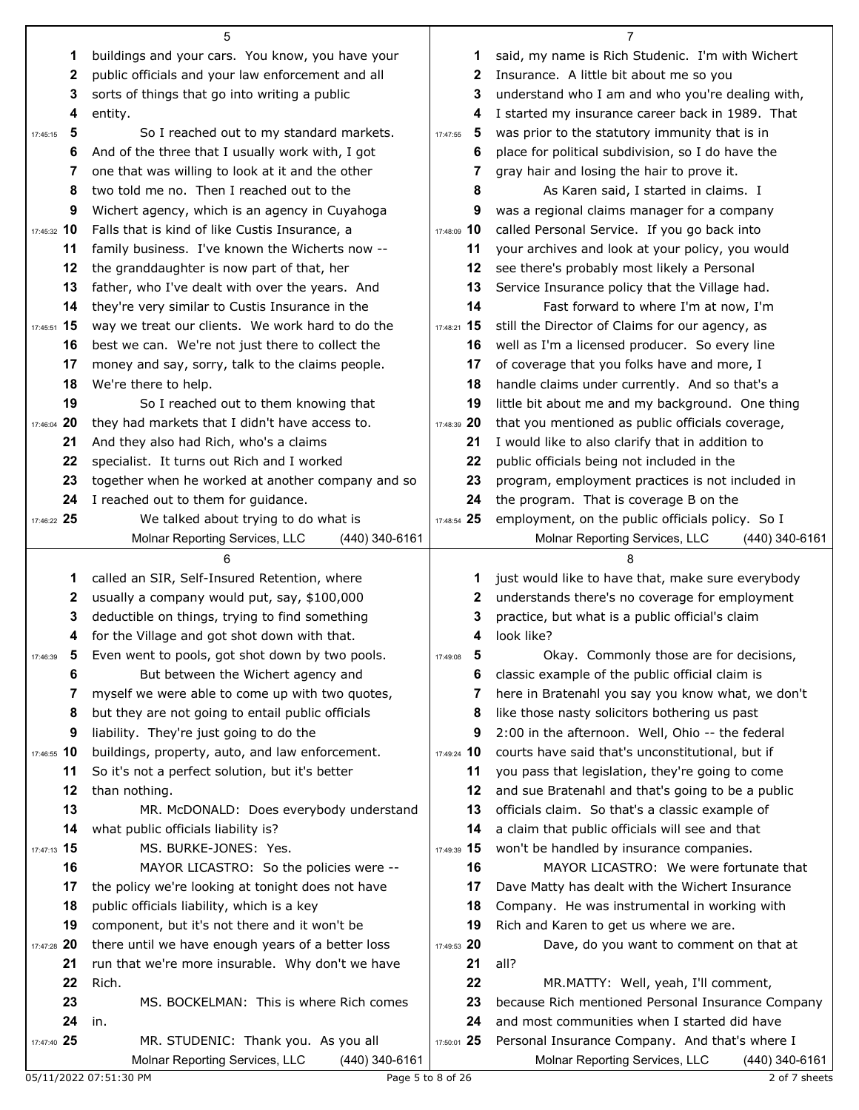|                   | 5                                                                                                     |                   | 7                                                  |
|-------------------|-------------------------------------------------------------------------------------------------------|-------------------|----------------------------------------------------|
| 1                 | buildings and your cars. You know, you have your                                                      | 1                 | said, my name is Rich Studenic. I'm with Wichert   |
| 2                 | public officials and your law enforcement and all                                                     | 2                 | Insurance. A little bit about me so you            |
| 3                 | sorts of things that go into writing a public                                                         | 3                 | understand who I am and who you're dealing with,   |
| 4                 | entity.                                                                                               | 4                 | I started my insurance career back in 1989. That   |
| 5<br>17:45:15     | So I reached out to my standard markets.                                                              | 5<br>17:47:55     | was prior to the statutory immunity that is in     |
| 6                 | And of the three that I usually work with, I got                                                      | 6                 | place for political subdivision, so I do have the  |
| 7                 | one that was willing to look at it and the other                                                      | 7                 | gray hair and losing the hair to prove it.         |
| 8                 | two told me no. Then I reached out to the                                                             | 8                 | As Karen said, I started in claims. I              |
| 9                 | Wichert agency, which is an agency in Cuyahoga                                                        | 9                 | was a regional claims manager for a company        |
| 17:45:32 10       | Falls that is kind of like Custis Insurance, a                                                        | 17:48:09 10       | called Personal Service. If you go back into       |
| 11                | family business. I've known the Wicherts now --                                                       | 11                | your archives and look at your policy, you would   |
| 12                | the granddaughter is now part of that, her                                                            | 12                | see there's probably most likely a Personal        |
| 13                | father, who I've dealt with over the years. And                                                       | 13                | Service Insurance policy that the Village had.     |
| 14                | they're very similar to Custis Insurance in the                                                       | 14                | Fast forward to where I'm at now, I'm              |
| 17:45:51 15       | way we treat our clients. We work hard to do the                                                      | 17:48:21 15       | still the Director of Claims for our agency, as    |
| 16                | best we can. We're not just there to collect the                                                      | 16                | well as I'm a licensed producer. So every line     |
| 17                | money and say, sorry, talk to the claims people.                                                      | 17                | of coverage that you folks have and more, I        |
| 18                | We're there to help.                                                                                  | 18                | handle claims under currently. And so that's a     |
| 19                | So I reached out to them knowing that                                                                 | 19                | little bit about me and my background. One thing   |
| 20<br>17:46:04    | they had markets that I didn't have access to.                                                        | 17:48:39 20       | that you mentioned as public officials coverage,   |
| 21                | And they also had Rich, who's a claims                                                                | 21                | I would like to also clarify that in addition to   |
| 22                | specialist. It turns out Rich and I worked                                                            | 22                | public officials being not included in the         |
| 23                | together when he worked at another company and so                                                     | 23                | program, employment practices is not included in   |
| 24                | I reached out to them for guidance.                                                                   | 24                | the program. That is coverage B on the             |
| 17:46:22 25       | We talked about trying to do what is                                                                  | 17:48:54 25       | employment, on the public officials policy. So I   |
|                   | Molnar Reporting Services, LLC<br>(440) 340-6161                                                      |                   | Molnar Reporting Services, LLC<br>$(440)$ 340-6161 |
|                   |                                                                                                       |                   |                                                    |
|                   | 6                                                                                                     |                   | 8                                                  |
| 1                 | called an SIR, Self-Insured Retention, where                                                          | 1                 | just would like to have that, make sure everybody  |
| 2                 | usually a company would put, say, \$100,000                                                           | 2                 | understands there's no coverage for employment     |
| 3                 | deductible on things, trying to find something                                                        | 3                 | practice, but what is a public official's claim    |
| 4                 | for the Village and got shot down with that.                                                          | 4                 | look like?                                         |
| 5<br>17:46:39     | Even went to pools, got shot down by two pools.                                                       | 5<br>17:49:08     | Okay. Commonly those are for decisions,            |
| 6                 | But between the Wichert agency and                                                                    | 6                 | classic example of the public official claim is    |
| 7                 | myself we were able to come up with two quotes,                                                       | 7                 | here in Bratenahl you say you know what, we don't  |
| 8                 | but they are not going to entail public officials                                                     | 8                 | like those nasty solicitors bothering us past      |
| 9                 | liability. They're just going to do the                                                               | 9                 | 2:00 in the afternoon. Well, Ohio -- the federal   |
| 17:46:55 10       | buildings, property, auto, and law enforcement.                                                       | 17:49:24 10       | courts have said that's unconstitutional, but if   |
| 11                | So it's not a perfect solution, but it's better                                                       | 11                | you pass that legislation, they're going to come   |
| 12                | than nothing.                                                                                         | 12                | and sue Bratenahl and that's going to be a public  |
| 13                | MR. McDONALD: Does everybody understand                                                               | 13                | officials claim. So that's a classic example of    |
| 14                | what public officials liability is?                                                                   | 14                | a claim that public officials will see and that    |
| 17:47:13 15       | MS. BURKE-JONES: Yes.                                                                                 | 17:49:39 15       | won't be handled by insurance companies.           |
| 16                | MAYOR LICASTRO: So the policies were --                                                               | 16                | MAYOR LICASTRO: We were fortunate that             |
| 17                | the policy we're looking at tonight does not have                                                     | 17<br>18          | Dave Matty has dealt with the Wichert Insurance    |
| 18<br>19          | public officials liability, which is a key                                                            | 19                | Company. He was instrumental in working with       |
|                   | component, but it's not there and it won't be                                                         |                   | Rich and Karen to get us where we are.             |
| 17:47:28 20<br>21 | there until we have enough years of a better loss<br>run that we're more insurable. Why don't we have | 17:49:53 20<br>21 | Dave, do you want to comment on that at<br>all?    |
| 22                | Rich.                                                                                                 | 22                | MR.MATTY: Well, yeah, I'll comment,                |
| 23                | MS. BOCKELMAN: This is where Rich comes                                                               | 23                | because Rich mentioned Personal Insurance Company  |
| 24                | in.                                                                                                   | 24                | and most communities when I started did have       |
| 17:47:40 25       | MR. STUDENIC: Thank you. As you all                                                                   | 17:50:01 25       | Personal Insurance Company. And that's where I     |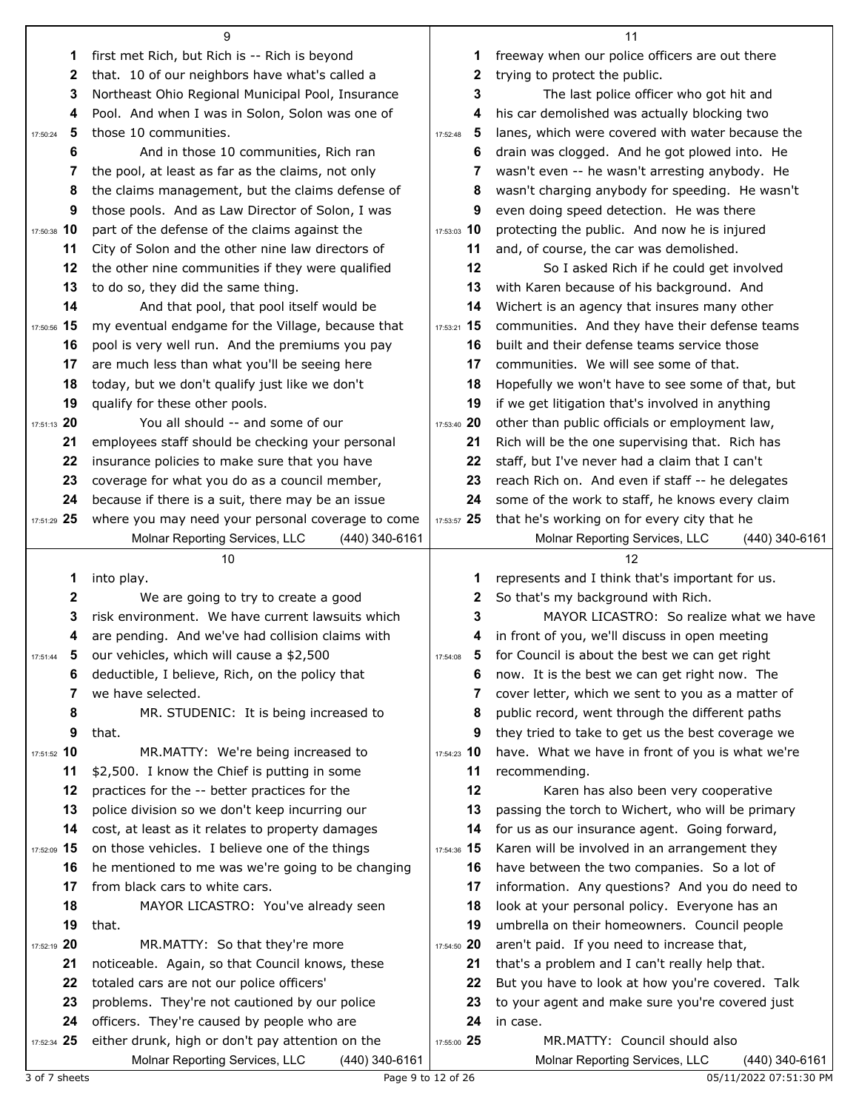|               | 9                                                                                           |               | 11                                                          |
|---------------|---------------------------------------------------------------------------------------------|---------------|-------------------------------------------------------------|
| 1             | first met Rich, but Rich is -- Rich is beyond                                               | 1             | freeway when our police officers are out there              |
| 2             | that. 10 of our neighbors have what's called a                                              | 2             | trying to protect the public.                               |
| 3             | Northeast Ohio Regional Municipal Pool, Insurance                                           | 3             | The last police officer who got hit and                     |
| 4             | Pool. And when I was in Solon, Solon was one of                                             | 4             | his car demolished was actually blocking two                |
| 5<br>17:50:24 | those 10 communities.                                                                       | 5<br>17:52:48 | lanes, which were covered with water because the            |
| 6             | And in those 10 communities, Rich ran                                                       | 6             | drain was clogged. And he got plowed into. He               |
| 7             | the pool, at least as far as the claims, not only                                           | 7             | wasn't even -- he wasn't arresting anybody. He              |
| 8             | the claims management, but the claims defense of                                            | 8             | wasn't charging anybody for speeding. He wasn't             |
| 9             | those pools. And as Law Director of Solon, I was                                            | 9             | even doing speed detection. He was there                    |
| 17:50:38 10   | part of the defense of the claims against the                                               | 17:53:03 10   | protecting the public. And now he is injured                |
| 11            | City of Solon and the other nine law directors of                                           | 11            | and, of course, the car was demolished.                     |
| 12            | the other nine communities if they were qualified                                           | 12            | So I asked Rich if he could get involved                    |
| 13            | to do so, they did the same thing.                                                          | 13            | with Karen because of his background. And                   |
| 14            | And that pool, that pool itself would be                                                    | 14            | Wichert is an agency that insures many other                |
| 17:50:56 15   | my eventual endgame for the Village, because that                                           | 17:53:21 15   | communities. And they have their defense teams              |
| 16            | pool is very well run. And the premiums you pay                                             | 16            | built and their defense teams service those                 |
| 17            | are much less than what you'll be seeing here                                               | 17            | communities. We will see some of that.                      |
| 18            | today, but we don't qualify just like we don't                                              | 18            | Hopefully we won't have to see some of that, but            |
| 19            | qualify for these other pools.                                                              | 19            | if we get litigation that's involved in anything            |
| 17:51:13 20   | You all should -- and some of our                                                           | 17:53:40 20   | other than public officials or employment law,              |
| 21            | employees staff should be checking your personal                                            | 21            | Rich will be the one supervising that. Rich has             |
| 22            | insurance policies to make sure that you have                                               | 22            | staff, but I've never had a claim that I can't              |
| 23            | coverage for what you do as a council member,                                               | 23            | reach Rich on. And even if staff -- he delegates            |
| 24            | because if there is a suit, there may be an issue                                           | 24            | some of the work to staff, he knows every claim             |
| 17:51:29 25   | where you may need your personal coverage to come                                           | 17:53:57 25   | that he's working on for every city that he                 |
|               | Molnar Reporting Services, LLC<br>(440) 340-6161                                            |               | Molnar Reporting Services, LLC<br>$(440)$ 340-6161          |
|               |                                                                                             |               |                                                             |
|               | 10                                                                                          |               | 12                                                          |
| 1             | into play.                                                                                  | 1             | represents and I think that's important for us.             |
| $\mathbf 2$   | We are going to try to create a good                                                        | 2             | So that's my background with Rich.                          |
| 3             | risk environment. We have current lawsuits which                                            | 3             | MAYOR LICASTRO: So realize what we have                     |
| 4             | are pending. And we've had collision claims with                                            | 4             | in front of you, we'll discuss in open meeting              |
| 5<br>17:51:44 | our vehicles, which will cause a \$2,500                                                    | 17:54:08      | for Council is about the best we can get right              |
| 6             | deductible, I believe, Rich, on the policy that                                             | 6             | now. It is the best we can get right now. The               |
| 7             | we have selected.                                                                           | 7             | cover letter, which we sent to you as a matter of           |
| 8             | MR. STUDENIC: It is being increased to                                                      | 8             | public record, went through the different paths             |
| 9             | that.                                                                                       | 9             | they tried to take to get us the best coverage we           |
| 17:51:52 10   | MR.MATTY: We're being increased to                                                          | 17:54:23 10   | have. What we have in front of you is what we're            |
| 11            | \$2,500. I know the Chief is putting in some                                                | 11            | recommending.                                               |
| 12            | practices for the -- better practices for the                                               | 12            | Karen has also been very cooperative                        |
| 13            | police division so we don't keep incurring our                                              | 13            | passing the torch to Wichert, who will be primary           |
| 14            | cost, at least as it relates to property damages                                            | 14            | for us as our insurance agent. Going forward,               |
| 17:52:09 15   | on those vehicles. I believe one of the things                                              | 17:54:36 15   | Karen will be involved in an arrangement they               |
| 16            | he mentioned to me was we're going to be changing                                           | 16            | have between the two companies. So a lot of                 |
| 17            | from black cars to white cars.                                                              | 17            | information. Any questions? And you do need to              |
| 18            | MAYOR LICASTRO: You've already seen                                                         | 18            | look at your personal policy. Everyone has an               |
| 19            | that.                                                                                       | 19            | umbrella on their homeowners. Council people                |
| 17:52:19 20   | MR.MATTY: So that they're more                                                              | 17:54:50 20   | aren't paid. If you need to increase that,                  |
| 21            | noticeable. Again, so that Council knows, these                                             | 21            | that's a problem and I can't really help that.              |
| 22<br>23      | totaled cars are not our police officers'                                                   | 22<br>23      | But you have to look at how you're covered. Talk            |
| 24            | problems. They're not cautioned by our police<br>officers. They're caused by people who are | 24            | to your agent and make sure you're covered just<br>in case. |
| 17:52:34 25   | either drunk, high or don't pay attention on the                                            | 17:55:00 25   | MR.MATTY: Council should also                               |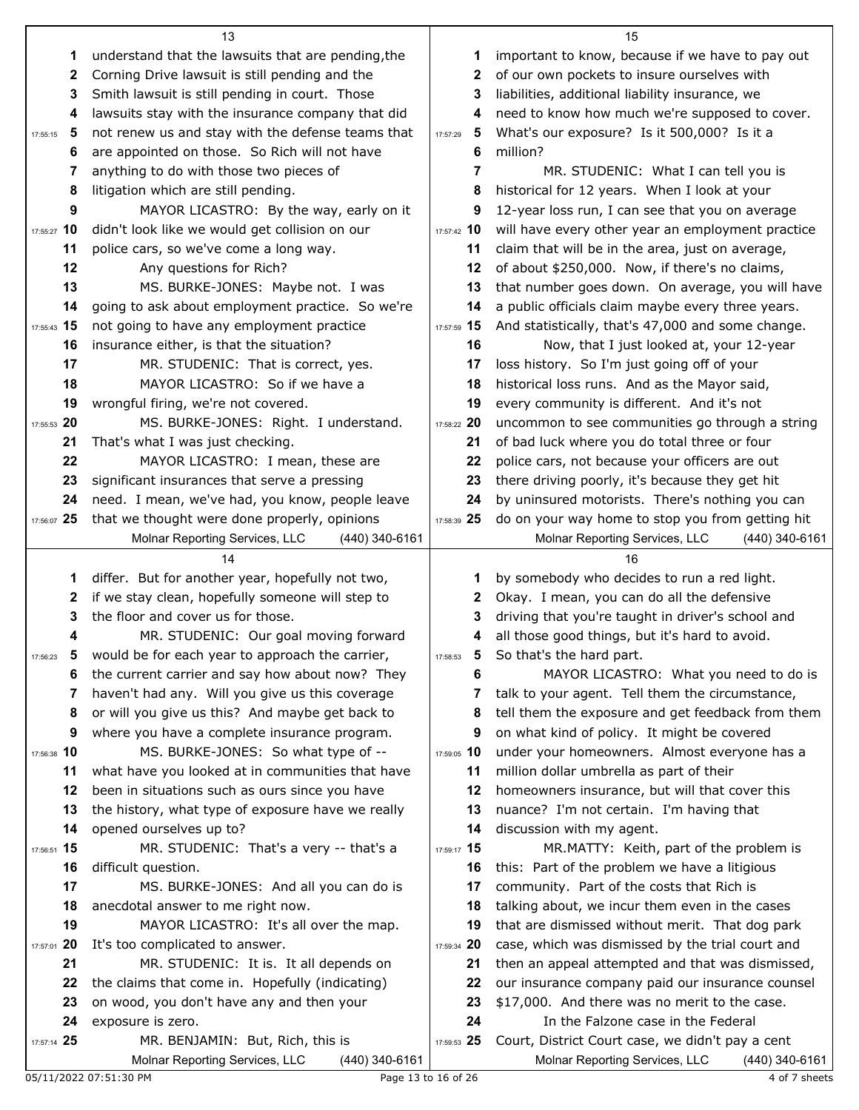|                | 13                                                                                   |               | 15                                                                                                   |
|----------------|--------------------------------------------------------------------------------------|---------------|------------------------------------------------------------------------------------------------------|
| 1              | understand that the lawsuits that are pending, the                                   | 1             | important to know, because if we have to pay out                                                     |
| 2              | Corning Drive lawsuit is still pending and the                                       | 2             | of our own pockets to insure ourselves with                                                          |
| 3              | Smith lawsuit is still pending in court. Those                                       | 3             | liabilities, additional liability insurance, we                                                      |
| 4              | lawsuits stay with the insurance company that did                                    | 4             | need to know how much we're supposed to cover.                                                       |
| 5<br>17:55:15  | not renew us and stay with the defense teams that                                    | 5<br>17:57:29 | What's our exposure? Is it 500,000? Is it a                                                          |
| 6              | are appointed on those. So Rich will not have                                        | 6             | million?                                                                                             |
| 7              | anything to do with those two pieces of                                              | 7             | MR. STUDENIC: What I can tell you is                                                                 |
| 8              | litigation which are still pending.                                                  | 8             | historical for 12 years. When I look at your                                                         |
| 9              | MAYOR LICASTRO: By the way, early on it                                              | 9             | 12-year loss run, I can see that you on average                                                      |
| 17:55:27 10    | didn't look like we would get collision on our                                       | 17:57:42 10   | will have every other year an employment practice                                                    |
| 11             | police cars, so we've come a long way.                                               | 11            | claim that will be in the area, just on average,                                                     |
| 12             | Any questions for Rich?                                                              | 12            | of about \$250,000. Now, if there's no claims,                                                       |
| 13             | MS. BURKE-JONES: Maybe not. I was                                                    | 13            | that number goes down. On average, you will have                                                     |
| 14             | going to ask about employment practice. So we're                                     | 14            | a public officials claim maybe every three years.                                                    |
| 17:55:43 15    | not going to have any employment practice                                            | 17:57:59 15   | And statistically, that's 47,000 and some change.                                                    |
| 16             | insurance either, is that the situation?                                             | 16            | Now, that I just looked at, your 12-year                                                             |
| 17             | MR. STUDENIC: That is correct, yes.                                                  | 17            | loss history. So I'm just going off of your                                                          |
| 18             | MAYOR LICASTRO: So if we have a                                                      | 18            | historical loss runs. And as the Mayor said,                                                         |
| 19             | wrongful firing, we're not covered.                                                  | 19            | every community is different. And it's not                                                           |
| 17:55:53 20    | MS. BURKE-JONES: Right. I understand.                                                | 17:58:22 20   | uncommon to see communities go through a string                                                      |
| 21             | That's what I was just checking.                                                     | 21            | of bad luck where you do total three or four                                                         |
| 22             | MAYOR LICASTRO: I mean, these are                                                    | 22            | police cars, not because your officers are out                                                       |
| 23             | significant insurances that serve a pressing                                         | 23            | there driving poorly, it's because they get hit                                                      |
| 24             | need. I mean, we've had, you know, people leave                                      | 24            | by uninsured motorists. There's nothing you can                                                      |
| 17:56:07 25    | that we thought were done properly, opinions                                         | 17:58:39 25   | do on your way home to stop you from getting hit                                                     |
|                | Molnar Reporting Services, LLC<br>$(440)$ 340-6161                                   |               | Molnar Reporting Services, LLC<br>(440) 340-6161                                                     |
|                |                                                                                      |               |                                                                                                      |
|                | 14                                                                                   |               | 16                                                                                                   |
| 1              | differ. But for another year, hopefully not two,                                     | 1             | by somebody who decides to run a red light.                                                          |
| 2              | if we stay clean, hopefully someone will step to                                     | 2             | Okay. I mean, you can do all the defensive                                                           |
| 3              | the floor and cover us for those.                                                    | 3             | driving that you're taught in driver's school and                                                    |
| 4              | MR. STUDENIC: Our goal moving forward                                                | 4             | all those good things, but it's hard to avoid.                                                       |
|                | would be for each year to approach the carrier,                                      | 5<br>17:58:53 | So that's the hard part.                                                                             |
| 6              | the current carrier and say how about now? They                                      | 6             | MAYOR LICASTRO: What you need to do is                                                               |
| 7              | haven't had any. Will you give us this coverage                                      | 7             | talk to your agent. Tell them the circumstance,                                                      |
| 8              | or will you give us this? And maybe get back to                                      | 8             | tell them the exposure and get feedback from them                                                    |
| 9              | where you have a complete insurance program.                                         | 9             | on what kind of policy. It might be covered                                                          |
| 17:56:38 10    | MS. BURKE-JONES: So what type of --                                                  | 17:59:05 10   | under your homeowners. Almost everyone has a                                                         |
| 11             | what have you looked at in communities that have                                     | 11            | million dollar umbrella as part of their                                                             |
| 12             | been in situations such as ours since you have                                       | 12            | homeowners insurance, but will that cover this                                                       |
| 13             | the history, what type of exposure have we really                                    | 13            | nuance? I'm not certain. I'm having that                                                             |
| 14             | opened ourselves up to?                                                              | 14            | discussion with my agent.                                                                            |
| 17:56:51 15    | MR. STUDENIC: That's a very -- that's a                                              | 17:59:17 15   | MR.MATTY: Keith, part of the problem is                                                              |
| 16             | difficult question.                                                                  | 16            | this: Part of the problem we have a litigious                                                        |
| 17             | MS. BURKE-JONES: And all you can do is                                               | 17            | community. Part of the costs that Rich is                                                            |
| 18             | anecdotal answer to me right now.                                                    | 18            | talking about, we incur them even in the cases                                                       |
| 19             | MAYOR LICASTRO: It's all over the map.                                               | 19            | that are dismissed without merit. That dog park                                                      |
| 20<br>17:57:01 | It's too complicated to answer.                                                      | 17:59:34 20   | case, which was dismissed by the trial court and                                                     |
| 21             | MR. STUDENIC: It is. It all depends on                                               | 21            | then an appeal attempted and that was dismissed,                                                     |
| 22             | the claims that come in. Hopefully (indicating)                                      | 22            | our insurance company paid our insurance counsel                                                     |
| 23             | on wood, you don't have any and then your                                            | 23            | \$17,000. And there was no merit to the case.                                                        |
| 24             | exposure is zero.                                                                    | 24            | In the Falzone case in the Federal                                                                   |
| 17:57:14 25    | MR. BENJAMIN: But, Rich, this is<br>Molnar Reporting Services, LLC<br>(440) 340-6161 | 17:59:53 25   | Court, District Court case, we didn't pay a cent<br>Molnar Reporting Services, LLC<br>(440) 340-6161 |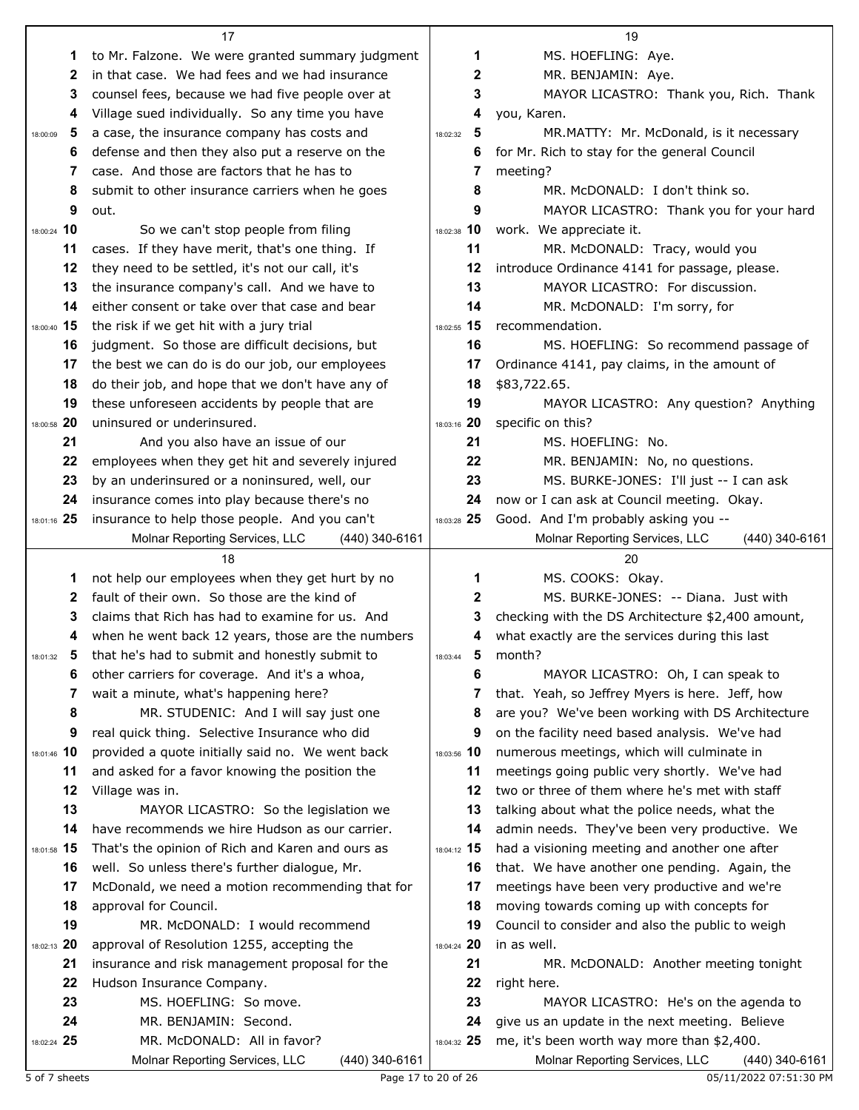|               | 17                                                   |               | 19                                                                                           |
|---------------|------------------------------------------------------|---------------|----------------------------------------------------------------------------------------------|
| 1             | to Mr. Falzone. We were granted summary judgment     | 1             | MS. HOEFLING: Aye.                                                                           |
| 2             | in that case. We had fees and we had insurance       | 2             | MR. BENJAMIN: Aye.                                                                           |
| 3             | counsel fees, because we had five people over at     | 3             | MAYOR LICASTRO: Thank you, Rich. Thank                                                       |
| 4             | Village sued individually. So any time you have      | 4             | you, Karen.                                                                                  |
| 5<br>18:00:09 | a case, the insurance company has costs and          | 5<br>18:02:32 | MR.MATTY: Mr. McDonald, is it necessary                                                      |
| 6             | defense and then they also put a reserve on the      | 6             | for Mr. Rich to stay for the general Council                                                 |
| 7             | case. And those are factors that he has to           | 7             | meeting?                                                                                     |
| 8             | submit to other insurance carriers when he goes      | 8             | MR. McDONALD: I don't think so.                                                              |
| 9             | out.                                                 | 9             | MAYOR LICASTRO: Thank you for your hard                                                      |
| 18:00:24 10   | So we can't stop people from filing                  | 18:02:38 10   | work. We appreciate it.                                                                      |
| 11            | cases. If they have merit, that's one thing. If      | 11            | MR. McDONALD: Tracy, would you                                                               |
| 12            | they need to be settled, it's not our call, it's     | 12            | introduce Ordinance 4141 for passage, please.                                                |
| 13            | the insurance company's call. And we have to         | 13            | MAYOR LICASTRO: For discussion.                                                              |
| 14            | either consent or take over that case and bear       | 14            | MR. McDONALD: I'm sorry, for                                                                 |
| 18:00:40 15   | the risk if we get hit with a jury trial             | 18:02:55 15   | recommendation.                                                                              |
| 16            | judgment. So those are difficult decisions, but      | 16            | MS. HOEFLING: So recommend passage of                                                        |
| 17            | the best we can do is do our job, our employees      | 17            | Ordinance 4141, pay claims, in the amount of                                                 |
| 18            | do their job, and hope that we don't have any of     | 18            | \$83,722.65.                                                                                 |
| 19            | these unforeseen accidents by people that are        | 19            | MAYOR LICASTRO: Any question? Anything                                                       |
| 18:00:58 20   | uninsured or underinsured.                           | 18:03:16 20   | specific on this?                                                                            |
| 21            | And you also have an issue of our                    | 21            | MS. HOEFLING: No.                                                                            |
| 22            | employees when they get hit and severely injured     | 22            | MR. BENJAMIN: No, no questions.                                                              |
| 23            | by an underinsured or a noninsured, well, our        | 23            | MS. BURKE-JONES: I'll just -- I can ask                                                      |
| 24            | insurance comes into play because there's no         | 24            | now or I can ask at Council meeting. Okay.                                                   |
| 18:01:16 25   | insurance to help those people. And you can't        | 18:03:28 25   | Good. And I'm probably asking you --                                                         |
|               | Molnar Reporting Services, LLC<br>$(440)$ 340-6161   |               | Molnar Reporting Services, LLC<br>(440) 340-6161                                             |
|               |                                                      |               |                                                                                              |
|               | 18                                                   |               | 20                                                                                           |
| 1             | not help our employees when they get hurt by no      | 1             | MS. COOKS: Okay.                                                                             |
| 2             | fault of their own. So those are the kind of         | 2             | MS. BURKE-JONES: -- Diana. Just with                                                         |
| 3             | claims that Rich has had to examine for us. And      | 3             | checking with the DS Architecture \$2,400 amount,                                            |
| 4             | when he went back 12 years, those are the numbers    | 4             | what exactly are the services during this last                                               |
| 18:01:32      | that he's had to submit and honestly submit to       | 5<br>18:03:44 | month?                                                                                       |
| 6             | other carriers for coverage. And it's a whoa,        | 6             | MAYOR LICASTRO: Oh, I can speak to                                                           |
| 7             | wait a minute, what's happening here?                | 7             | that. Yeah, so Jeffrey Myers is here. Jeff, how                                              |
| 8             | MR. STUDENIC: And I will say just one                | 8             | are you? We've been working with DS Architecture                                             |
| 9             | real quick thing. Selective Insurance who did        | 9             | on the facility need based analysis. We've had                                               |
| 18:01:46 10   | provided a quote initially said no. We went back     | 18:03:56 10   | numerous meetings, which will culminate in                                                   |
| 11            | and asked for a favor knowing the position the       | 11            | meetings going public very shortly. We've had                                                |
| 12            | Village was in.                                      | 12            | two or three of them where he's met with staff                                               |
| 13            | MAYOR LICASTRO: So the legislation we                | 13            | talking about what the police needs, what the                                                |
| 14            | have recommends we hire Hudson as our carrier.       | 14            | admin needs. They've been very productive. We                                                |
| 18:01:58 15   | That's the opinion of Rich and Karen and ours as     | 18:04:12 15   | had a visioning meeting and another one after                                                |
| 16            | well. So unless there's further dialogue, Mr.        | 16            | that. We have another one pending. Again, the                                                |
| 17            | McDonald, we need a motion recommending that for     | 17            | meetings have been very productive and we're                                                 |
| 18            | approval for Council.                                | 18            | moving towards coming up with concepts for                                                   |
| 19            | MR. McDONALD: I would recommend                      | 19            | Council to consider and also the public to weigh                                             |
| 18:02:13 20   | approval of Resolution 1255, accepting the           | 18:04:24 20   | in as well.                                                                                  |
| 21            | insurance and risk management proposal for the       | 21            | MR. McDONALD: Another meeting tonight                                                        |
| 22            | Hudson Insurance Company.                            | 22            | right here.                                                                                  |
| 23<br>24      | MS. HOEFLING: So move.                               | 23<br>24      | MAYOR LICASTRO: He's on the agenda to                                                        |
| 18:02:24 25   | MR. BENJAMIN: Second.<br>MR. McDONALD: All in favor? | 18:04:32 25   | give us an update in the next meeting. Believe<br>me, it's been worth way more than \$2,400. |

5 of 7 sheets Page 17 to 20 of 26 05/11/2022 07:51:30 PM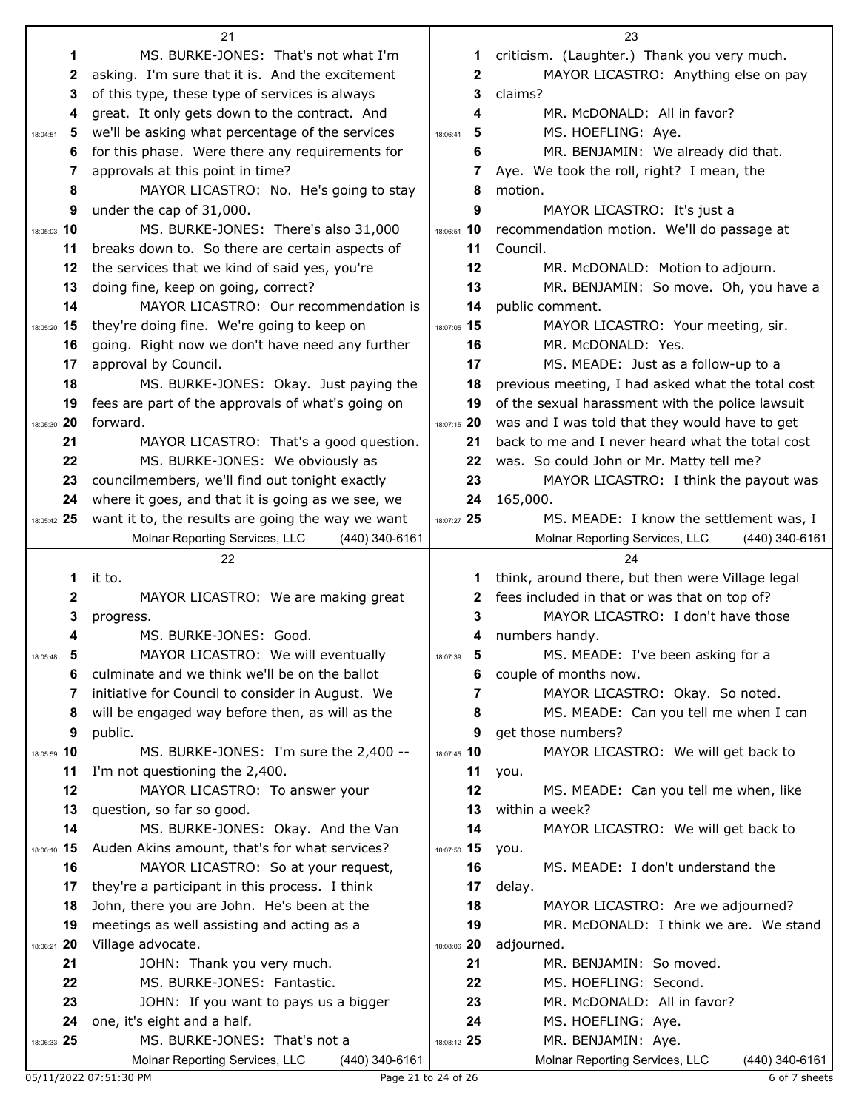|               | 21                                                                           |               | 23                                                 |
|---------------|------------------------------------------------------------------------------|---------------|----------------------------------------------------|
| 1             | MS. BURKE-JONES: That's not what I'm                                         | 1.            | criticism. (Laughter.) Thank you very much.        |
| 2             | asking. I'm sure that it is. And the excitement                              | $\mathbf 2$   | MAYOR LICASTRO: Anything else on pay               |
| 3             | of this type, these type of services is always                               | 3             | claims?                                            |
| 4             | great. It only gets down to the contract. And                                | 4             | MR. McDONALD: All in favor?                        |
| 5<br>18:04:51 | we'll be asking what percentage of the services                              | 5<br>18:06:41 | MS. HOEFLING: Aye.                                 |
| 6             | for this phase. Were there any requirements for                              | 6             | MR. BENJAMIN: We already did that.                 |
| 7             | approvals at this point in time?                                             | 7             | Aye. We took the roll, right? I mean, the          |
| 8             | MAYOR LICASTRO: No. He's going to stay                                       | 8             | motion.                                            |
| 9             | under the cap of 31,000.                                                     | 9             | MAYOR LICASTRO: It's just a                        |
| 18:05:03 10   | MS. BURKE-JONES: There's also 31,000                                         | 18:06:51 10   | recommendation motion. We'll do passage at         |
| 11            | breaks down to. So there are certain aspects of                              | 11            | Council.                                           |
| 12            | the services that we kind of said yes, you're                                | 12            | MR. McDONALD: Motion to adjourn.                   |
| 13            |                                                                              | 13            |                                                    |
| 14            | doing fine, keep on going, correct?<br>MAYOR LICASTRO: Our recommendation is |               | MR. BENJAMIN: So move. Oh, you have a              |
|               |                                                                              | 14            | public comment.                                    |
| 18:05:20 15   | they're doing fine. We're going to keep on                                   | 18:07:05 15   | MAYOR LICASTRO: Your meeting, sir.                 |
| 16            | going. Right now we don't have need any further                              | 16            | MR. McDONALD: Yes.                                 |
| 17            | approval by Council.                                                         | 17            | MS. MEADE: Just as a follow-up to a                |
| 18            | MS. BURKE-JONES: Okay. Just paying the                                       | 18            | previous meeting, I had asked what the total cost  |
| 19            | fees are part of the approvals of what's going on                            | 19            | of the sexual harassment with the police lawsuit   |
| 18:05:30 20   | forward.                                                                     | 18:07:15 20   | was and I was told that they would have to get     |
| 21            | MAYOR LICASTRO: That's a good question.                                      | 21            | back to me and I never heard what the total cost   |
| 22            | MS. BURKE-JONES: We obviously as                                             | 22            | was. So could John or Mr. Matty tell me?           |
| 23            | councilmembers, we'll find out tonight exactly                               | 23            | MAYOR LICASTRO: I think the payout was             |
| 24            | where it goes, and that it is going as we see, we                            | 24            | 165,000.                                           |
| 18:05:42 25   | want it to, the results are going the way we want                            | 18:07:27 25   | MS. MEADE: I know the settlement was, I            |
|               | Molnar Reporting Services, LLC<br>(440) 340-6161                             |               | Molnar Reporting Services, LLC<br>$(440)$ 340-6161 |
|               |                                                                              |               |                                                    |
|               | 22                                                                           |               | 24                                                 |
| 1             | it to.                                                                       | 1             | think, around there, but then were Village legal   |
| 2             | MAYOR LICASTRO: We are making great                                          | 2             | fees included in that or was that on top of?       |
| 3             | progress.                                                                    | 3             | MAYOR LICASTRO: I don't have those                 |
| 4             | MS. BURKE-JONES: Good.                                                       | 4             | numbers handy.                                     |
| 18:05:48      | MAYOR LICASTRO: We will eventually                                           | 18:07:39      | MS. MEADE: I've been asking for a                  |
| 6             | culminate and we think we'll be on the ballot                                | 6             | couple of months now.                              |
| 7             | initiative for Council to consider in August. We                             | 7             | MAYOR LICASTRO: Okay. So noted.                    |
| 8             | will be engaged way before then, as will as the                              | 8             | MS. MEADE: Can you tell me when I can              |
| 9             | public.                                                                      | 9             | get those numbers?                                 |
| 18:05:59 10   | MS. BURKE-JONES: I'm sure the 2,400 --                                       | 18:07:45 10   | MAYOR LICASTRO: We will get back to                |
| 11            | I'm not questioning the 2,400.                                               | 11            | you.                                               |
| 12            | MAYOR LICASTRO: To answer your                                               | 12            | MS. MEADE: Can you tell me when, like              |
| 13            | question, so far so good.                                                    | 13            | within a week?                                     |
| 14            | MS. BURKE-JONES: Okay. And the Van                                           | 14            | MAYOR LICASTRO: We will get back to                |
| 18:06:10 15   | Auden Akins amount, that's for what services?                                | 18:07:50 15   | you.                                               |
| 16            | MAYOR LICASTRO: So at your request,                                          | 16            | MS. MEADE: I don't understand the                  |
| 17            | they're a participant in this process. I think                               | 17            | delay.                                             |
| 18            | John, there you are John. He's been at the                                   | 18            | MAYOR LICASTRO: Are we adjourned?                  |
| 19            | meetings as well assisting and acting as a                                   | 19            | MR. McDONALD: I think we are. We stand             |
| 18:06:21 20   | Village advocate.                                                            | 18:08:06 20   | adjourned.                                         |
| 21            | JOHN: Thank you very much.                                                   | 21            | MR. BENJAMIN: So moved.                            |
| 22            | MS. BURKE-JONES: Fantastic.                                                  | 22            | MS. HOEFLING: Second.                              |
| 23            | JOHN: If you want to pays us a bigger                                        | 23            | MR. McDONALD: All in favor?                        |
| 24            | one, it's eight and a half.                                                  | 24            | MS. HOEFLING: Aye.                                 |
| 18:06:33 25   | MS. BURKE-JONES: That's not a                                                | 18:08:12 25   | MR. BENJAMIN: Aye.                                 |